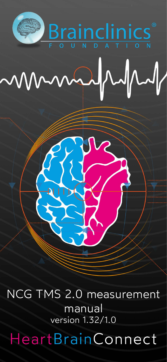

# mmayrophy



## NCG TMS 2.0 measurement manual version 1.32/1.0

## HeartBrainConnect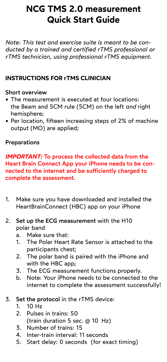### **NCG TMS 2.0 measurement Quick Start Guide**

*Note: This test and exercise suite is meant to be conducted by a trained and certified rTMS professional or rTMS technician, using professional rTMS equipment.*

#### **INSTRUCTIONS FOR rTMS CLINICIAN**

#### Short overview

- The measurement is executed at four locations: the Beam and 5CM rule (5CM) on the left *and* right hemisphere;
- Per location, fifteen increasing steps of 2% of machine output (MO) are applied;

#### Preparations

*IMPORTANT:* To process the collected data from the Heart Brain Connect App your iPhone needs to be connected to the internet and be sufficiently charged to complete the assessment.

- 1. Make sure you have downloaded and installed the HeartBrainConnect (HBC) app on your iPhone
- 2. Set up the ECG measurement with the H10 polar band
	- a. Make sure that:
	- 1. The Polar Heart Rate Sensor is attached to the participants chest;
	- 2. The polar band is paired with the iPhone and with the HBC app;
	- 3. The ECG measurement functions properly.
	- b. Note: Your iPhone needs to be connected to the internet to complete the assessment successfully!
- 3. Set the protocol in the rTMS device:
	- 1. 10 Hz
	- 2. Pulses in trains: 50 (train duration 5 sec. @ 10 Hz)
	- 3. Number of trains: 15
	- 4. Inter-train interval: 11 seconds
	- 5. Start delay: 0 seconds (for exact timing)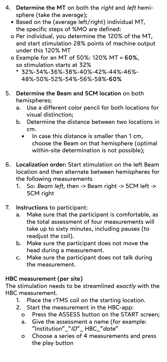- 4. Determine the MT on both the *right* and *left* hemi sphere (take the average);
	- Based on the (average left/right) individual MT, the specific steps of %MO are defined:
	- o Per individual, you determine the 120% of the MT, and start stimulation 28% points of machine output under this 120% MT
	- $o$  Example for an MT of 50%: 120% MT = 60%, so stimulation starts at 32%
		- \* 32%-34%-36%-38%-40%-42%-44%-46%- 48%-50%-52%-54%-56%-58%-60%
- 5. Determine the Beam and 5CM location on both hemispheres;
	- a. Use a different color pencil for both locations for visual distinction;
	- b. Determine the distance between two locations in cm.
		- In case this distance is smaller than 1 cm, choose the Beam on that hemisphere (optimal within-site determination is not possible);
- 6. Localization order: Start stimulation on the left Beam location and then alternate between hemispheres for the following measurements
	- 1. So: *Beam left,* then -> Beam right -> 5CM left -> 5CM right
- 7. Instructions to participant:
	- a. Make sure that the participant is comfortable, as the total assessment of four measurements will take up to sixty minutes, including pauses (to readjust the coil).
	- b. Make sure the participant does not move the head during a measurement.
	- c. Make sure the participant does not talk during the measurement.

- Place the rTMS coil on the starting location.
- 2. Start the measurement in the HBC-app:
	- o Press the ASSESS button on the START screen;
	- a. Give the assessment a name (for example: "Institution"\_"*ID*"\_ HBC\_"*date*"
	- o Choose a series of 4 measurements and press the play button

#### HBC measurement (per site)

The stimulation needs to be streamlined *exactly* with the HBC measurement.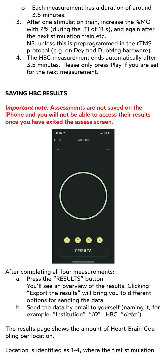- o Each measurement has a duration of around 3.5 minutes.
- 3. After one stimulation train, increase the %MO with 2% (during the ITI of 11 s), and again after the next stimulation train etc.

 NB: unless this is preprogrammed in the rTMS protocol (e.g. on Deymed DuoMag hardware).

 4. The HBC measurement ends automatically after 3.5 minutes. Please only press Play if you are set for the next measurement.

#### **SAVING HBC RESULTS**

*Important note:* Assessments are not saved on the iPhone and you will not be able to access their results once you have exited the assess screen.



After completing all four measurements:

- a. Press the "RESULTS" button.
	- You'll see an overview of the results. Clicking "Export the results" will bring you to different options for sending the data.
- b. Send the data by email to yourself (naming it, for example: "Institution"\_"*ID*"\_ HBC\_"*date*")

The results page shows the amount of Heart-Brain-Coupling per location.

Location is identified as 1-4, where the first stimulation